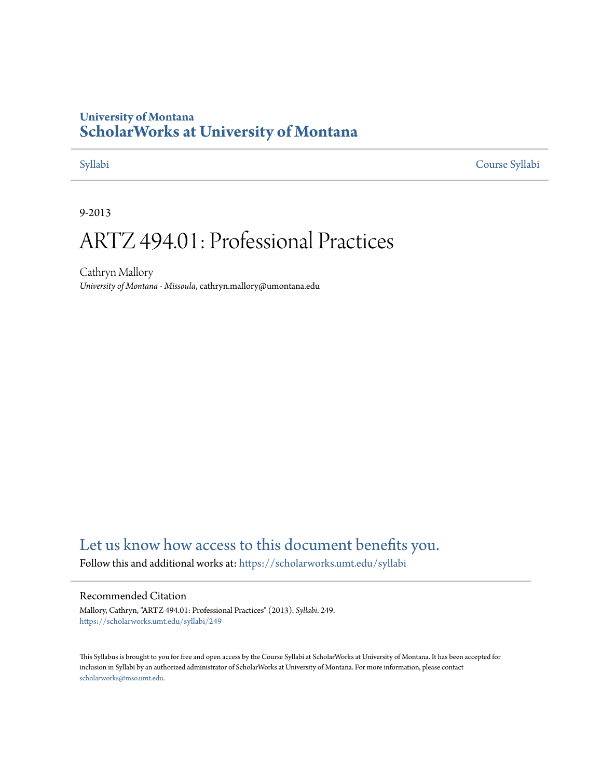# **University of Montana [ScholarWorks at University of Montana](https://scholarworks.umt.edu?utm_source=scholarworks.umt.edu%2Fsyllabi%2F249&utm_medium=PDF&utm_campaign=PDFCoverPages)**

[Syllabi](https://scholarworks.umt.edu/syllabi?utm_source=scholarworks.umt.edu%2Fsyllabi%2F249&utm_medium=PDF&utm_campaign=PDFCoverPages) [Course Syllabi](https://scholarworks.umt.edu/course_syllabi?utm_source=scholarworks.umt.edu%2Fsyllabi%2F249&utm_medium=PDF&utm_campaign=PDFCoverPages)

9-2013

# ARTZ 494.01: Professional Practices

Cathryn Mallory *University of Montana - Missoula*, cathryn.mallory@umontana.edu

# [Let us know how access to this document benefits you.](https://goo.gl/forms/s2rGfXOLzz71qgsB2)

Follow this and additional works at: [https://scholarworks.umt.edu/syllabi](https://scholarworks.umt.edu/syllabi?utm_source=scholarworks.umt.edu%2Fsyllabi%2F249&utm_medium=PDF&utm_campaign=PDFCoverPages)

#### Recommended Citation

Mallory, Cathryn, "ARTZ 494.01: Professional Practices" (2013). *Syllabi*. 249. [https://scholarworks.umt.edu/syllabi/249](https://scholarworks.umt.edu/syllabi/249?utm_source=scholarworks.umt.edu%2Fsyllabi%2F249&utm_medium=PDF&utm_campaign=PDFCoverPages)

This Syllabus is brought to you for free and open access by the Course Syllabi at ScholarWorks at University of Montana. It has been accepted for inclusion in Syllabi by an authorized administrator of ScholarWorks at University of Montana. For more information, please contact [scholarworks@mso.umt.edu](mailto:scholarworks@mso.umt.edu).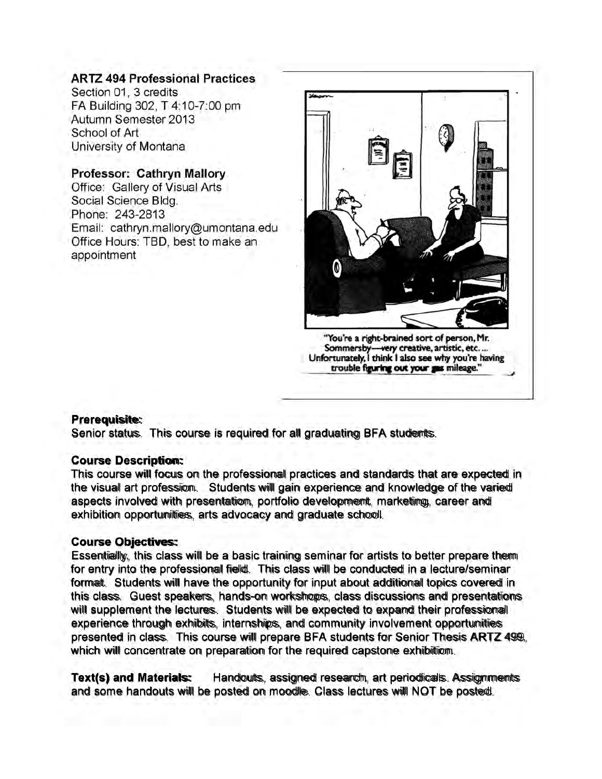#### **ARTZ 494 Professional Practices**

Section 01, 3 credits FA Building 302, T 4:10-7:00 pm Autumn Semester 2013 School of Art University of Montana

#### **Professor: Cathryn Mallory**

Office: Gallery of Visual Arts Social Science Bldg. Phone: 243-2813 Email: cathryn.mallory@umontana.edu Office Hours: TBD, best to make an appointment



**Sommersby— very creative, artistic, etc.... Unfortunately, I think I also see why you're having trouble figuring out your gas mileage."**

#### **Prerequisite:**

Senior status. This course is required for all graduating BFA students.

#### **Course Description:**

This course will focus on the professional practices and standards that are expected in the visual art profession. Students will gain experience and knowledge of the varied aspects involved with presentation, portfolio development, marketing, career and exhibition opportunities, arts advocacy and graduate schooll.

#### **Course Objectives:**

Essentially, this class will be a basic training seminar for artists to better prepare them for entry into the professional field. This class will be conducted in a lecture/seminar format. Students will have the opportunity for input about additional topics covered in this class. Guest speakers, hands-on workshops, class discussions and presentations will supplement the lectures. Students will be expected to expand their professional experience through exhibits, internships, and community involvement opportunities presented in class. This course will prepare BFA students for Senior Thesis ARTZ 499, which will concentrate on preparation for the required capstone exhibition.

**Text(s) and Materials:** Handouts, assigned research, art periodicals. Assignments and some handouts will be posted on moodle. Class lectures will NOT be posted.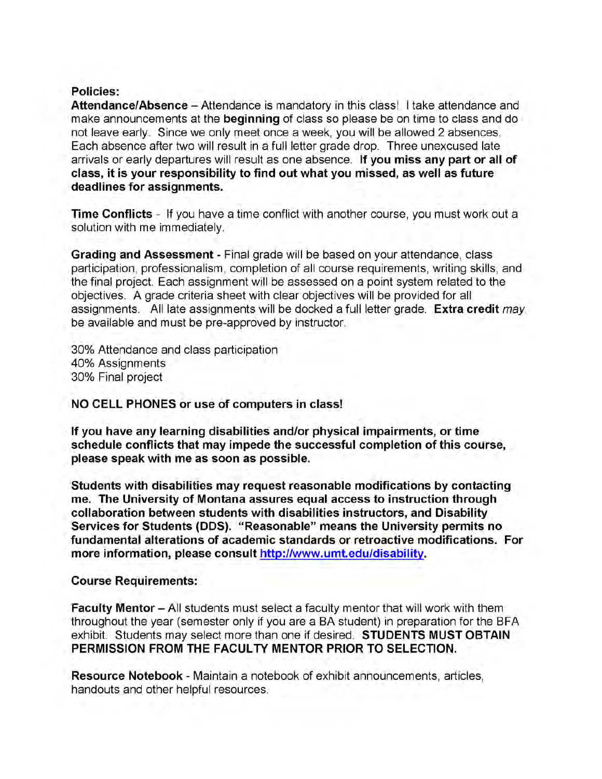#### **Policies:**

**Attendance/Absence** - Attendance is mandatory in this class! **I** take attendance and make announcements at the **beginning** of class so please be on time to class and do not leave early. Since we only meet once a week, you will be allowed 2 absences. Each absence after two will result in a full letter grade drop. Three unexcused late arrivals or early departures will result as one absence. **If you miss any part or all of class, it is your responsibility to find out what you missed, as well as future deadlines for assignments.**

**Time Conflicts** - If you have a time conflict with another course, you must work out a solution with me immediately.

**Grading and Assessment** - Final grade will be based on your attendance, class participation, professionalism, completion of all course requirements, writing skills, and the final project. Each assignment will be assessed on a point system related to the objectives. A grade criteria sheet with clear objectives will be provided for all assignments. All late assignments will be docked a full letter grade. **Extra credit** *may* be available and must be pre-approved by instructor.

30% Attendance and class participation 40% Assignments 30% Final project

**NO CELL PHONES or use of computers in class!**

**If you have any learning disabilities and/or physical impairments, or time schedule conflicts that may impede the successful completion of this course, please speak with me as soon as possible.**

**Students with disabilities may request reasonable modifications by contacting me. The University of Montana assures equal access to instruction through collaboration between students with disabilities instructors, and Disability Services for Students (DDS). "Reasonable" means the University permits no fundamental alterations of academic standards or retroactive modifications. For more information, please consult http://www.umt.edu/disability.**

#### **Course Requirements:**

**Faculty Mentor** – All students must select a faculty mentor that will work with them throughout the year (semester only if you are a BA student) in preparation for the BFA exhibit. Students may select more than one if desired. **STUDENTS MUST OBTAIN PERMISSION FROM THE FACULTY MENTOR PRIOR TO SELECTION.**

**Resource Notebook** - Maintain a notebook of exhibit announcements, articles, handouts and other helpful resources.